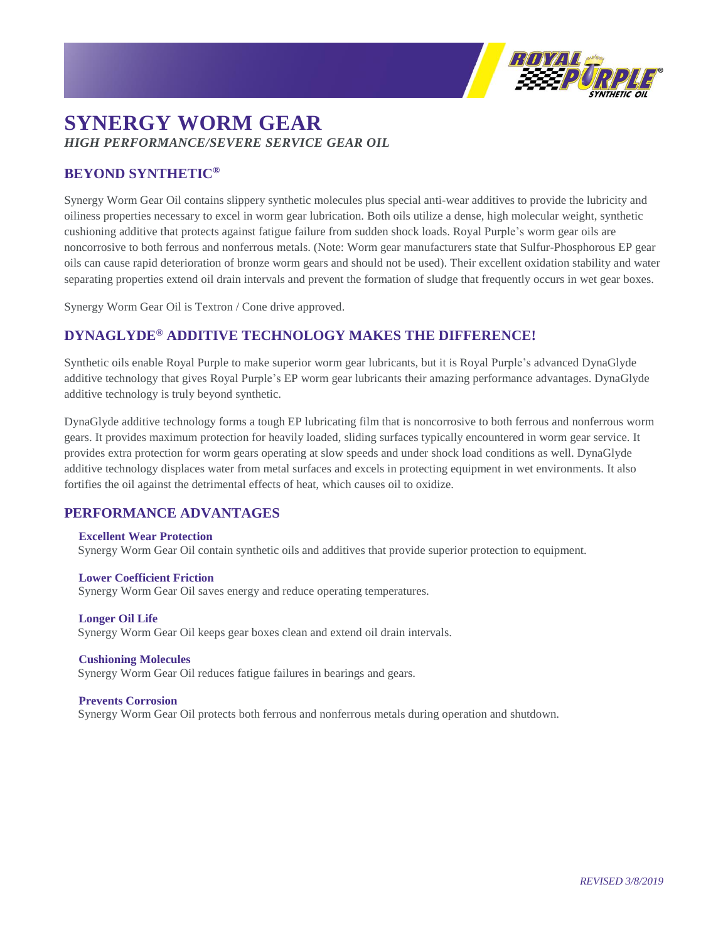

# **SYNERGY WORM GEAR** *HIGH PERFORMANCE/SEVERE SERVICE GEAR OIL*

## **BEYOND SYNTHETIC®**

Synergy Worm Gear Oil contains slippery synthetic molecules plus special anti-wear additives to provide the lubricity and oiliness properties necessary to excel in worm gear lubrication. Both oils utilize a dense, high molecular weight, synthetic cushioning additive that protects against fatigue failure from sudden shock loads. Royal Purple's worm gear oils are noncorrosive to both ferrous and nonferrous metals. (Note: Worm gear manufacturers state that Sulfur-Phosphorous EP gear oils can cause rapid deterioration of bronze worm gears and should not be used). Their excellent oxidation stability and water separating properties extend oil drain intervals and prevent the formation of sludge that frequently occurs in wet gear boxes.

Synergy Worm Gear Oil is Textron / Cone drive approved.

## **DYNAGLYDE® ADDITIVE TECHNOLOGY MAKES THE DIFFERENCE!**

Synthetic oils enable Royal Purple to make superior worm gear lubricants, but it is Royal Purple's advanced DynaGlyde additive technology that gives Royal Purple's EP worm gear lubricants their amazing performance advantages. DynaGlyde additive technology is truly beyond synthetic.

DynaGlyde additive technology forms a tough EP lubricating film that is noncorrosive to both ferrous and nonferrous worm gears. It provides maximum protection for heavily loaded, sliding surfaces typically encountered in worm gear service. It provides extra protection for worm gears operating at slow speeds and under shock load conditions as well. DynaGlyde additive technology displaces water from metal surfaces and excels in protecting equipment in wet environments. It also fortifies the oil against the detrimental effects of heat, which causes oil to oxidize.

## **PERFORMANCE ADVANTAGES**

#### **Excellent Wear Protection**

Synergy Worm Gear Oil contain synthetic oils and additives that provide superior protection to equipment.

#### **Lower Coefficient Friction**

Synergy Worm Gear Oil saves energy and reduce operating temperatures.

### **Longer Oil Life** Synergy Worm Gear Oil keeps gear boxes clean and extend oil drain intervals.

**Cushioning Molecules** Synergy Worm Gear Oil reduces fatigue failures in bearings and gears.

#### **Prevents Corrosion**

Synergy Worm Gear Oil protects both ferrous and nonferrous metals during operation and shutdown.